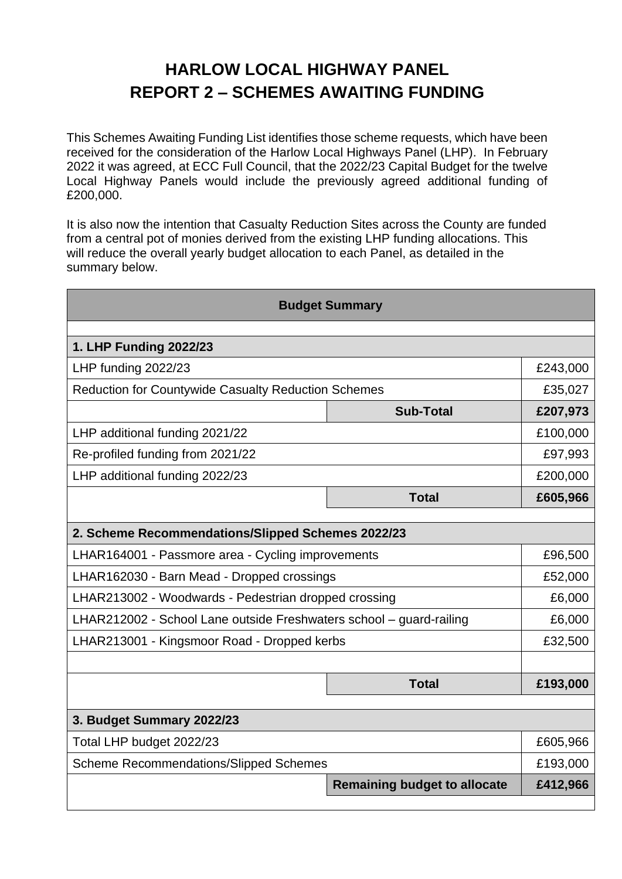## **HARLOW LOCAL HIGHWAY PANEL REPORT 2 – SCHEMES AWAITING FUNDING**

This Schemes Awaiting Funding List identifies those scheme requests, which have been received for the consideration of the Harlow Local Highways Panel (LHP). In February 2022 it was agreed, at ECC Full Council, that the 2022/23 Capital Budget for the twelve Local Highway Panels would include the previously agreed additional funding of £200,000.

It is also now the intention that Casualty Reduction Sites across the County are funded from a central pot of monies derived from the existing LHP funding allocations. This will reduce the overall yearly budget allocation to each Panel, as detailed in the summary below.

| <b>Budget Summary</b>                                               |                                     |          |
|---------------------------------------------------------------------|-------------------------------------|----------|
|                                                                     |                                     |          |
| 1. LHP Funding 2022/23                                              |                                     |          |
| LHP funding 2022/23                                                 |                                     | £243,000 |
| Reduction for Countywide Casualty Reduction Schemes                 |                                     | £35,027  |
|                                                                     | <b>Sub-Total</b>                    | £207,973 |
| LHP additional funding 2021/22                                      |                                     | £100,000 |
| Re-profiled funding from 2021/22                                    |                                     | £97,993  |
| LHP additional funding 2022/23                                      |                                     | £200,000 |
|                                                                     | <b>Total</b>                        | £605,966 |
|                                                                     |                                     |          |
| 2. Scheme Recommendations/Slipped Schemes 2022/23                   |                                     |          |
| LHAR164001 - Passmore area - Cycling improvements                   |                                     | £96,500  |
| LHAR162030 - Barn Mead - Dropped crossings                          |                                     | £52,000  |
| LHAR213002 - Woodwards - Pedestrian dropped crossing                |                                     | £6,000   |
| LHAR212002 - School Lane outside Freshwaters school - guard-railing |                                     | £6,000   |
| LHAR213001 - Kingsmoor Road - Dropped kerbs                         |                                     | £32,500  |
|                                                                     |                                     |          |
|                                                                     | <b>Total</b>                        | £193,000 |
|                                                                     |                                     |          |
| 3. Budget Summary 2022/23                                           |                                     |          |
| Total LHP budget 2022/23                                            |                                     | £605,966 |
| <b>Scheme Recommendations/Slipped Schemes</b>                       |                                     | £193,000 |
|                                                                     | <b>Remaining budget to allocate</b> | £412,966 |